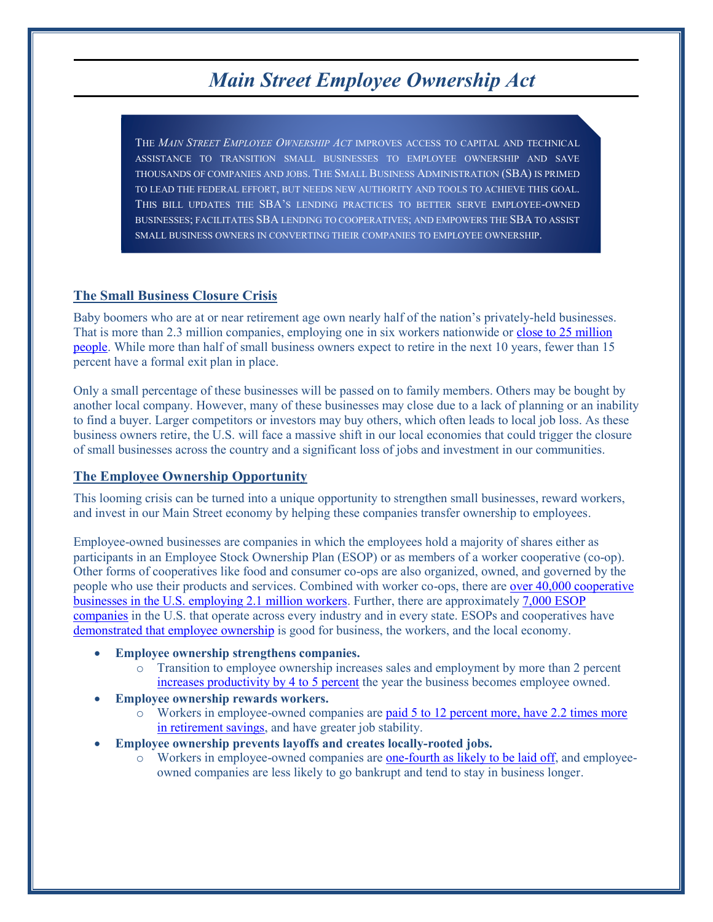# *Main Street Employee Ownership Act*

THE *MAIN STREET EMPLOYEE OWNERSHIP ACT* IMPROVES ACCESS TO CAPITAL AND TECHNICAL ASSISTANCE TO TRANSITION SMALL BUSINESSES TO EMPLOYEE OWNERSHIP AND SAVE THOUSANDS OF COMPANIES AND JOBS. THE SMALL BUSINESS ADMINISTRATION (SBA) IS PRIMED TO LEAD THE FEDERAL EFFORT, BUT NEEDS NEW AUTHORITY AND TOOLS TO ACHIEVE THIS GOAL. THIS BILL UPDATES THE SBA'S LENDING PRACTICES TO BETTER SERVE EMPLOYEE-OWNED BUSINESSES; FACILITATES SBA LENDING TO COOPERATIVES; AND EMPOWERS THE SBA TO ASSIST SMALL BUSINESS OWNERS IN CONVERTING THEIR COMPANIES TO EMPLOYEE OWNERSHIP.

#### **The Small Business Closure Crisis**

Baby boomers who are at or near retirement age own nearly half of the nation's privately-held businesses. That is more than 2.3 million companies, employing one in six workers nationwide or close to 25 million [people.](http://www.project-equity.org/communities/small-business-closure-crisis/) While more than half of small business owners expect to retire in the next 10 years, fewer than 15 percent have a formal exit plan in place.

Only a small percentage of these businesses will be passed on to family members. Others may be bought by another local company. However, many of these businesses may close due to a lack of planning or an inability to find a buyer. Larger competitors or investors may buy others, which often leads to local job loss. As these business owners retire, the U.S. will face a massive shift in our local economies that could trigger the closure of small businesses across the country and a significant loss of jobs and investment in our communities.

### **The Employee Ownership Opportunity**

This looming crisis can be turned into a unique opportunity to strengthen small businesses, reward workers, and invest in our Main Street economy by helping these companies transfer ownership to employees.

Employee-owned businesses are companies in which the employees hold a majority of shares either as participants in an Employee Stock Ownership Plan (ESOP) or as members of a worker cooperative (co-op). Other forms of cooperatives like food and consumer co-ops are also organized, owned, and governed by the people who use their products and services. Combined with worker co-ops, there are [over 40,000 cooperative](https://ncb.coop/ArticleDocuments/250/What%20is%20a%20Co-op.pdf.aspx)  [businesses in the U.S. employing 2.1 million workers.](https://ncb.coop/ArticleDocuments/250/What%20is%20a%20Co-op.pdf.aspx) Further, there are approximately [7,000 ESOP](http://esca.us/wp-content/uploads/2016/08/Economic_Growth_Through_EO_revised.pdf) [companies](http://esca.us/wp-content/uploads/2016/08/Economic_Growth_Through_EO_revised.pdf) in the U.S. that operate across every industry and in every state. ESOPs and cooperatives have demonstrated [that employee ownership](http://papers.nber.org/books/krus08-1) is good for business, the workers, and the local economy.

- Employee ownership strengthens companies.
	- o Transition to employee ownership increases sales and employment by more than 2 percent [increases productivity by 4 to 5 percent](https://www.nceo.org/assets/pdf/misc/Employee-Ownership-NCEO.pdf) the year the business becomes employee owned.
- x **Employee ownership rewards workers.**
	- o Workers in employee-owned companies are [paid 5 to 12 percent more, have 2.2](https://www.nceo.org/assets/pdf/misc/Employee-Ownership-NCEO.pdf) times more [in retirement savings,](https://www.nceo.org/assets/pdf/misc/Employee-Ownership-NCEO.pdf) and have greater job stability.
- x **Employee ownership prevents layoffs and creates locally-rooted jobs.**
	- o Workers in employee-owned companies are one-fourth as [likely to be laid off,](https://democracycollaborative.org/sites/clone.community-wealth.org/files/downloads/InclusiveEconomy_TDC_Web.pdf) and employeeowned companies are less likely to go bankrupt and tend to stay in business longer.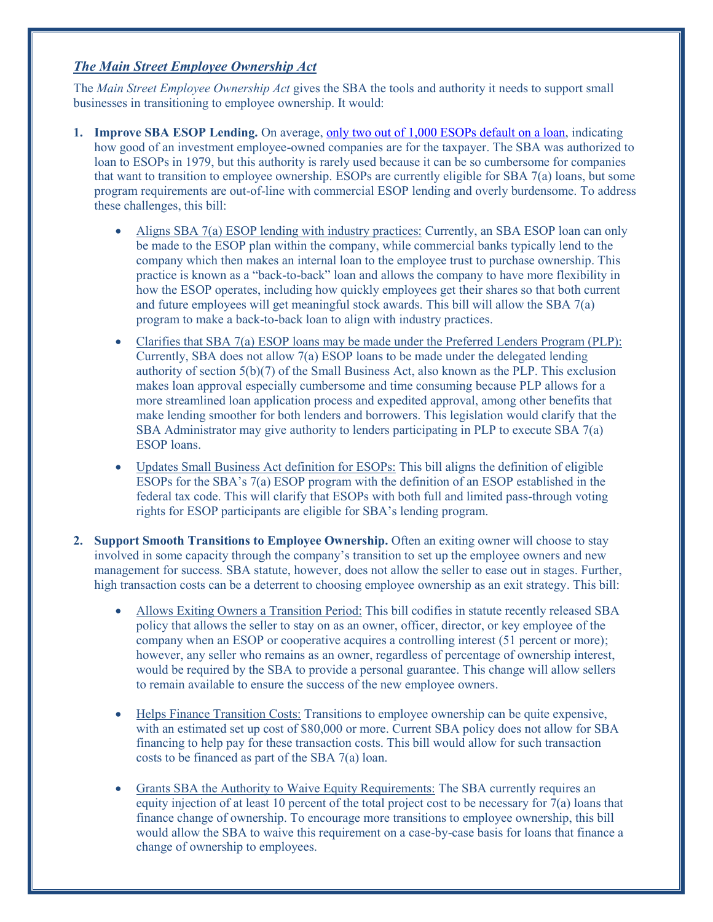## *The Main Street Employee Ownership Act*

The *Main Street Employee Ownership Act* gives the SBA the tools and authority it needs to support small businesses in transitioning to employee ownership. It would:

- **1. Improve SBA ESOP Lending.** On average, only two out of 1,000 [ESOPs default on a loan,](https://www.nceo.org/assets/pdf/misc/Employee-Ownership-NCEO.pdf) indicating how good of an investment employee-owned companies are for the taxpayer. The SBA was authorized to loan to ESOPs in 1979, but this authority is rarely used because it can be so cumbersome for companies that want to transition to employee ownership. ESOPs are currently eligible for SBA 7(a) loans, but some program requirements are out-of-line with commercial ESOP lending and overly burdensome. To address these challenges, this bill:
	- Aligns SBA 7(a) ESOP lending with industry practices: Currently, an SBA ESOP loan can only be made to the ESOP plan within the company, while commercial banks typically lend to the company which then makes an internal loan to the employee trust to purchase ownership. This practice is known as a "back-to-back" loan and allows the company to have more flexibility in how the ESOP operates, including how quickly employees get their shares so that both current and future employees will get meaningful stock awards. This bill will allow the SBA 7(a) program to make a back-to-back loan to align with industry practices.
	- x Clarifies that SBA 7(a) ESOP loans may be made under the Preferred Lenders Program (PLP): Currently, SBA does not allow 7(a) ESOP loans to be made under the delegated lending authority of section 5(b)(7) of the Small Business Act, also known as the PLP. This exclusion makes loan approval especially cumbersome and time consuming because PLP allows for a more streamlined loan application process and expedited approval, among other benefits that make lending smoother for both lenders and borrowers. This legislation would clarify that the SBA Administrator may give authority to lenders participating in PLP to execute SBA 7(a) ESOP loans.
	- Updates Small Business Act definition for ESOPs: This bill aligns the definition of eligible ESOPs for the SBA's 7(a) ESOP program with the definition of an ESOP established in the federal tax code. This will clarify that ESOPs with both full and limited pass-through voting rights for ESOP participants are eligible for SBA's lending program.
- **2. Support Smooth Transitions to Employee Ownership.** Often an exiting owner will choose to stay involved in some capacity through the company's transition to set up the employee owners and new management for success. SBA statute, however, does not allow the seller to ease out in stages. Further, high transaction costs can be a deterrent to choosing employee ownership as an exit strategy. This bill:
	- x Allows Exiting Owners a Transition Period: This bill codifies in statute recently released SBA policy that allows the seller to stay on as an owner, officer, director, or key employee of the company when an ESOP or cooperative acquires a controlling interest (51 percent or more); however, any seller who remains as an owner, regardless of percentage of ownership interest, would be required by the SBA to provide a personal guarantee. This change will allow sellers to remain available to ensure the success of the new employee owners.
	- x Helps Finance Transition Costs: Transitions to employee ownership can be quite expensive, with an estimated set up cost of \$80,000 or more. Current SBA policy does not allow for SBA financing to help pay for these transaction costs. This bill would allow for such transaction costs to be financed as part of the SBA 7(a) loan.
	- Grants SBA the Authority to Waive Equity Requirements: The SBA currently requires an equity injection of at least 10 percent of the total project cost to be necessary for 7(a) loans that finance change of ownership. To encourage more transitions to employee ownership, this bill would allow the SBA to waive this requirement on a case-by-case basis for loans that finance a change of ownership to employees.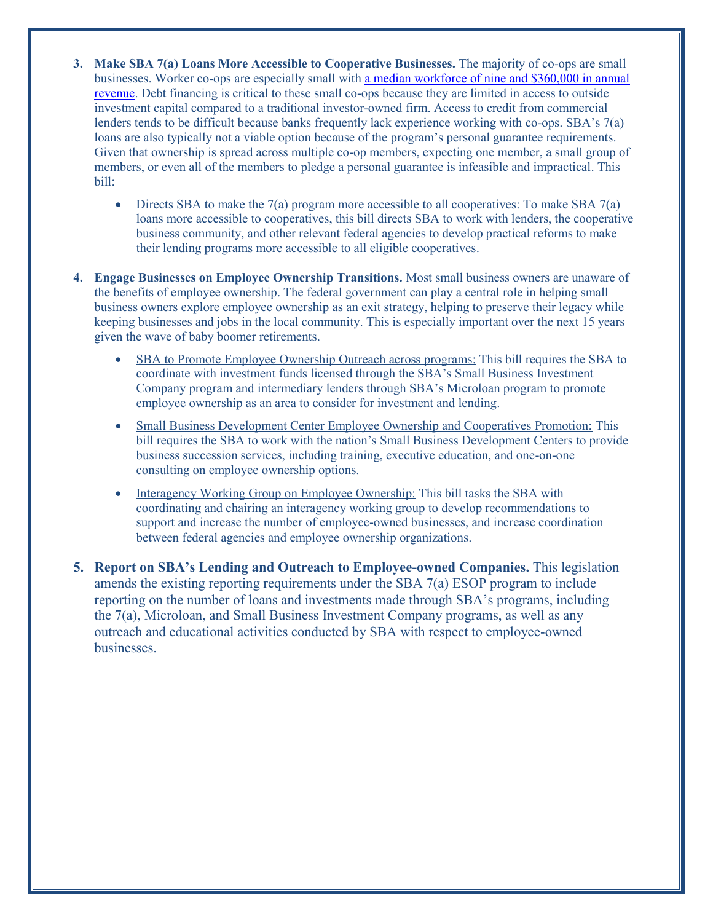- **3. Make SBA 7(a) Loans More Accessible to Cooperative Businesses.** The majority of co-ops are small businesses. Worker co-ops are especially small with [a median workforce of nine and \\$360,000 in annual](https://institute.app.box.com/v/wc2015stateofthesector)  [revenue.](https://institute.app.box.com/v/wc2015stateofthesector) Debt financing is critical to these small co-ops because they are limited in access to outside investment capital compared to a traditional investor-owned firm. Access to credit from commercial lenders tends to be difficult because banks frequently lack experience working with co-ops. SBA's 7(a) loans are also typically not a viable option because of the program's personal guarantee requirements. Given that ownership is spread across multiple co-op members, expecting one member, a small group of members, or even all of the members to pledge a personal guarantee is infeasible and impractical. This bill:
	- $\bullet$  Directs SBA to make the 7(a) program more accessible to all cooperatives: To make SBA 7(a) loans more accessible to cooperatives, this bill directs SBA to work with lenders, the cooperative business community, and other relevant federal agencies to develop practical reforms to make their lending programs more accessible to all eligible cooperatives.
- **4. Engage Businesses on Employee Ownership Transitions.** Most small business owners are unaware of the benefits of employee ownership. The federal government can play a central role in helping small business owners explore employee ownership as an exit strategy, helping to preserve their legacy while keeping businesses and jobs in the local community. This is especially important over the next 15 years given the wave of baby boomer retirements.
	- x SBA to Promote Employee Ownership Outreach across programs: This bill requires the SBA to coordinate with investment funds licensed through the SBA's Small Business Investment Company program and intermediary lenders through SBA's Microloan program to promote employee ownership as an area to consider for investment and lending.
	- x Small Business Development Center Employee Ownership and Cooperatives Promotion: This bill requires the SBA to work with the nation's Small Business Development Centers to provide business succession services, including training, executive education, and one-on-one consulting on employee ownership options.
	- Interagency Working Group on Employee Ownership: This bill tasks the SBA with coordinating and chairing an interagency working group to develop recommendations to support and increase the number of employee-owned businesses, and increase coordination between federal agencies and employee ownership organizations.
- **5. Report on SBA's Lending and Outreach to Employee-owned Companies.** This legislation amends the existing reporting requirements under the SBA 7(a) ESOP program to include reporting on the number of loans and investments made through SBA's programs, including the 7(a), Microloan, and Small Business Investment Company programs, as well as any outreach and educational activities conducted by SBA with respect to employee-owned businesses.